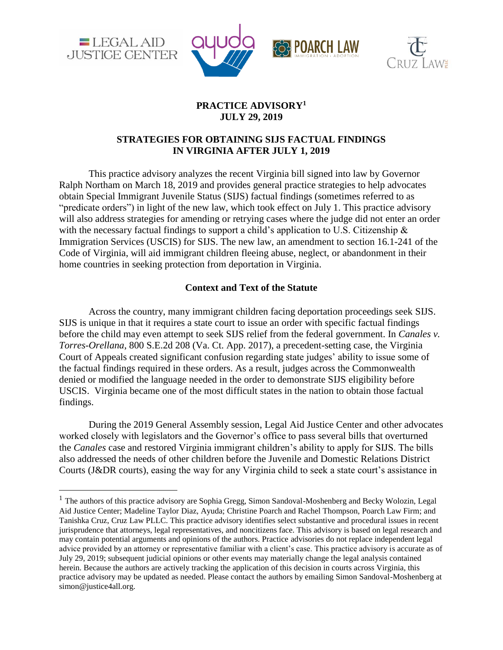

 $\overline{a}$ 





# **PRACTICE ADVISORY<sup>1</sup> JULY 29, 2019**

# **STRATEGIES FOR OBTAINING SIJS FACTUAL FINDINGS IN VIRGINIA AFTER JULY 1, 2019**

This practice advisory analyzes the recent Virginia bill signed into law by Governor Ralph Northam on March 18, 2019 and provides general practice strategies to help advocates obtain Special Immigrant Juvenile Status (SIJS) factual findings (sometimes referred to as "predicate orders") in light of the new law, which took effect on July 1. This practice advisory will also address strategies for amending or retrying cases where the judge did not enter an order with the necessary factual findings to support a child's application to U.S. Citizenship & Immigration Services (USCIS) for SIJS. The new law, an amendment to section 16.1-241 of the Code of Virginia, will aid immigrant children fleeing abuse, neglect, or abandonment in their home countries in seeking protection from deportation in Virginia.

## **Context and Text of the Statute**

Across the country, many immigrant children facing deportation proceedings seek SIJS. SIJS is unique in that it requires a state court to issue an order with specific factual findings before the child may even attempt to seek SIJS relief from the federal government. In *Canales v. Torres-Orellana*, 800 S.E.2d 208 (Va. Ct. App. 2017), a precedent-setting case, the Virginia Court of Appeals created significant confusion regarding state judges' ability to issue some of the factual findings required in these orders. As a result, judges across the Commonwealth denied or modified the language needed in the order to demonstrate SIJS eligibility before USCIS. Virginia became one of the most difficult states in the nation to obtain those factual findings.

During the 2019 General Assembly session, Legal Aid Justice Center and other advocates worked closely with legislators and the Governor's office to pass several bills that overturned the *Canales* case and restored Virginia immigrant children's ability to apply for SIJS. The bills also addressed the needs of other children before the Juvenile and Domestic Relations District Courts (J&DR courts), easing the way for any Virginia child to seek a state court's assistance in

<sup>&</sup>lt;sup>1</sup> The authors of this practice advisory are Sophia Gregg, Simon Sandoval-Moshenberg and Becky Wolozin, Legal Aid Justice Center; Madeline Taylor Diaz, Ayuda; Christine Poarch and Rachel Thompson, Poarch Law Firm; and Tanishka Cruz, Cruz Law PLLC. This practice advisory identifies select substantive and procedural issues in recent jurisprudence that attorneys, legal representatives, and noncitizens face. This advisory is based on legal research and may contain potential arguments and opinions of the authors. Practice advisories do not replace independent legal advice provided by an attorney or representative familiar with a client's case. This practice advisory is accurate as of July 29, 2019; subsequent judicial opinions or other events may materially change the legal analysis contained herein. Because the authors are actively tracking the application of this decision in courts across Virginia, this practice advisory may be updated as needed. Please contact the authors by emailing Simon Sandoval-Moshenberg at simon@justice4all.org.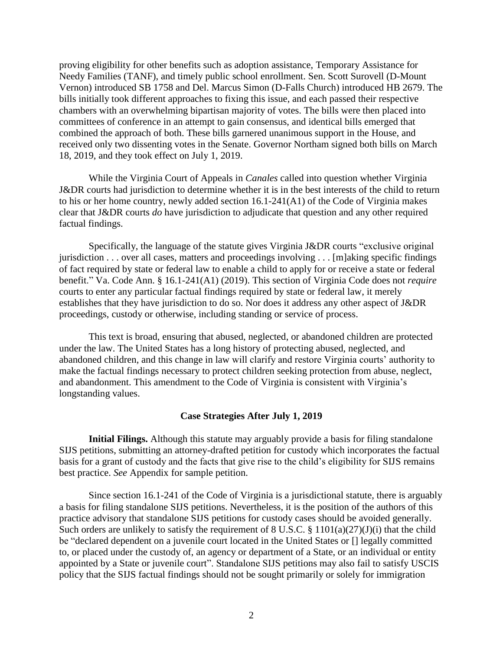proving eligibility for other benefits such as adoption assistance, Temporary Assistance for Needy Families (TANF), and timely public school enrollment. Sen. Scott Surovell (D-Mount Vernon) introduced SB 1758 and Del. Marcus Simon (D-Falls Church) introduced HB 2679. The bills initially took different approaches to fixing this issue, and each passed their respective chambers with an overwhelming bipartisan majority of votes. The bills were then placed into committees of conference in an attempt to gain consensus, and identical bills emerged that combined the approach of both. These bills garnered unanimous support in the House, and received only two dissenting votes in the Senate. Governor Northam signed both bills on March 18, 2019, and they took effect on July 1, 2019.

While the Virginia Court of Appeals in *Canales* called into question whether Virginia J&DR courts had jurisdiction to determine whether it is in the best interests of the child to return to his or her home country, newly added section 16.1-241(A1) of the Code of Virginia makes clear that J&DR courts *do* have jurisdiction to adjudicate that question and any other required factual findings.

Specifically, the language of the statute gives Virginia J&DR courts "exclusive original jurisdiction . . . over all cases, matters and proceedings involving . . . [m]aking specific findings of fact required by state or federal law to enable a child to apply for or receive a state or federal benefit." Va. Code Ann. § 16.1-241(A1) (2019). This section of Virginia Code does not *require* courts to enter any particular factual findings required by state or federal law, it merely establishes that they have jurisdiction to do so. Nor does it address any other aspect of J&DR proceedings, custody or otherwise, including standing or service of process.

This text is broad, ensuring that abused, neglected, or abandoned children are protected under the law. The United States has a long history of protecting abused, neglected, and abandoned children, and this change in law will clarify and restore Virginia courts' authority to make the factual findings necessary to protect children seeking protection from abuse, neglect, and abandonment. This amendment to the Code of Virginia is consistent with Virginia's longstanding values.

### **Case Strategies After July 1, 2019**

**Initial Filings.** Although this statute may arguably provide a basis for filing standalone SIJS petitions, submitting an attorney-drafted petition for custody which incorporates the factual basis for a grant of custody and the facts that give rise to the child's eligibility for SIJS remains best practice. *See* Appendix for sample petition.

Since section 16.1-241 of the Code of Virginia is a jurisdictional statute, there is arguably a basis for filing standalone SIJS petitions. Nevertheless, it is the position of the authors of this practice advisory that standalone SIJS petitions for custody cases should be avoided generally. Such orders are unlikely to satisfy the requirement of  $8 \text{ U.S.C.} \$ §  $1101(a)(27)(J)(i)$  that the child be "declared dependent on a juvenile court located in the United States or [] legally committed to, or placed under the custody of, an agency or department of a State, or an individual or entity appointed by a State or juvenile court". Standalone SIJS petitions may also fail to satisfy USCIS policy that the SIJS factual findings should not be sought primarily or solely for immigration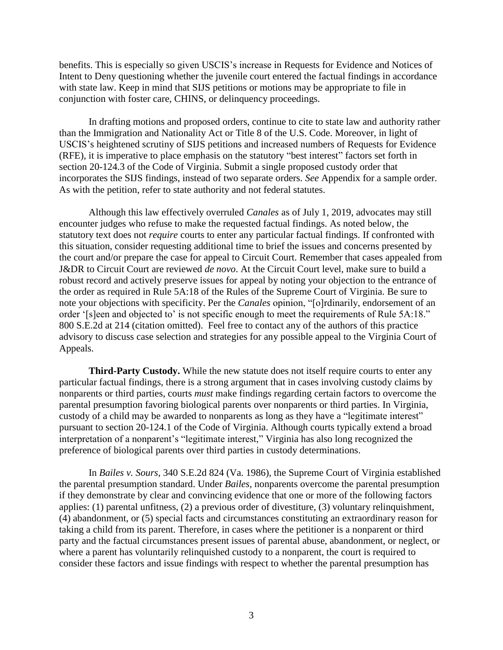benefits. This is especially so given USCIS's increase in Requests for Evidence and Notices of Intent to Deny questioning whether the juvenile court entered the factual findings in accordance with state law. Keep in mind that SIJS petitions or motions may be appropriate to file in conjunction with foster care, CHINS, or delinquency proceedings.

In drafting motions and proposed orders, continue to cite to state law and authority rather than the Immigration and Nationality Act or Title 8 of the U.S. Code. Moreover, in light of USCIS's heightened scrutiny of SIJS petitions and increased numbers of Requests for Evidence (RFE), it is imperative to place emphasis on the statutory "best interest" factors set forth in section 20-124.3 of the Code of Virginia. Submit a single proposed custody order that incorporates the SIJS findings, instead of two separate orders. *See* Appendix for a sample order. As with the petition, refer to state authority and not federal statutes.

Although this law effectively overruled *Canales* as of July 1, 2019, advocates may still encounter judges who refuse to make the requested factual findings. As noted below, the statutory text does not *require* courts to enter any particular factual findings. If confronted with this situation, consider requesting additional time to brief the issues and concerns presented by the court and/or prepare the case for appeal to Circuit Court. Remember that cases appealed from J&DR to Circuit Court are reviewed *de novo*. At the Circuit Court level, make sure to build a robust record and actively preserve issues for appeal by noting your objection to the entrance of the order as required in Rule 5A:18 of the Rules of the Supreme Court of Virginia. Be sure to note your objections with specificity. Per the *Canales* opinion, "[o]rdinarily, endorsement of an order '[s]een and objected to' is not specific enough to meet the requirements of Rule 5A:18." 800 S.E.2d at 214 (citation omitted). Feel free to contact any of the authors of this practice advisory to discuss case selection and strategies for any possible appeal to the Virginia Court of Appeals.

**Third-Party Custody.** While the new statute does not itself require courts to enter any particular factual findings, there is a strong argument that in cases involving custody claims by nonparents or third parties, courts *must* make findings regarding certain factors to overcome the parental presumption favoring biological parents over nonparents or third parties. In Virginia, custody of a child may be awarded to nonparents as long as they have a "legitimate interest" pursuant to section 20-124.1 of the Code of Virginia. Although courts typically extend a broad interpretation of a nonparent's "legitimate interest," Virginia has also long recognized the preference of biological parents over third parties in custody determinations.

In *Bailes v. Sours*, 340 S.E.2d 824 (Va. 1986), the Supreme Court of Virginia established the parental presumption standard. Under *Bailes*, nonparents overcome the parental presumption if they demonstrate by clear and convincing evidence that one or more of the following factors applies: (1) parental unfitness, (2) a previous order of divestiture, (3) voluntary relinquishment, (4) abandonment, or (5) special facts and circumstances constituting an extraordinary reason for taking a child from its parent. Therefore, in cases where the petitioner is a nonparent or third party and the factual circumstances present issues of parental abuse, abandonment, or neglect, or where a parent has voluntarily relinquished custody to a nonparent, the court is required to consider these factors and issue findings with respect to whether the parental presumption has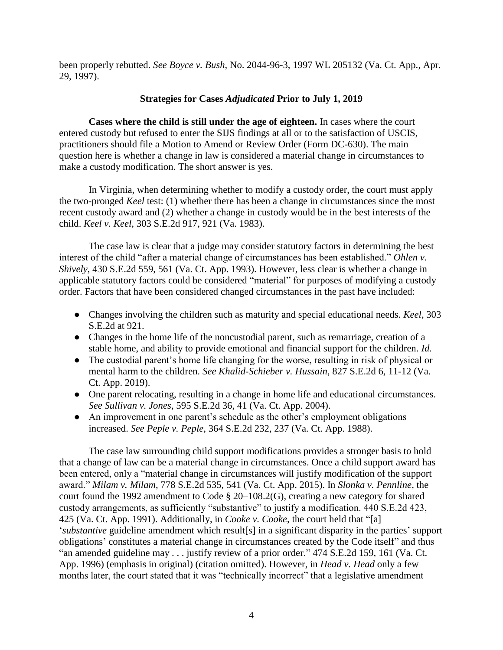been properly rebutted. *See Boyce v. Bush*, No. 2044-96-3, 1997 WL 205132 (Va. Ct. App., Apr. 29, 1997).

## **Strategies for Cases** *Adjudicated* **Prior to July 1, 2019**

**Cases where the child is still under the age of eighteen.** In cases where the court entered custody but refused to enter the SIJS findings at all or to the satisfaction of USCIS, practitioners should file a Motion to Amend or Review Order (Form DC-630). The main question here is whether a change in law is considered a material change in circumstances to make a custody modification. The short answer is yes.

In Virginia, when determining whether to modify a custody order, the court must apply the two-pronged *Keel* test: (1) whether there has been a change in circumstances since the most recent custody award and (2) whether a change in custody would be in the best interests of the child. *Keel v. Keel*, 303 S.E.2d 917, 921 (Va. 1983).

The case law is clear that a judge may consider statutory factors in determining the best interest of the child "after a material change of circumstances has been established." *Ohlen v. Shively*, 430 S.E.2d 559, 561 (Va. Ct. App. 1993). However, less clear is whether a change in applicable statutory factors could be considered "material" for purposes of modifying a custody order. Factors that have been considered changed circumstances in the past have included:

- Changes involving the children such as maturity and special educational needs. *Keel*, 303 S.E.2d at 921.
- Changes in the home life of the noncustodial parent, such as remarriage, creation of a stable home, and ability to provide emotional and financial support for the children. *Id.*
- The custodial parent's home life changing for the worse, resulting in risk of physical or mental harm to the children. *See Khalid-Schieber v. Hussain*, 827 S.E.2d 6, 11-12 (Va. Ct. App. 2019).
- One parent relocating, resulting in a change in home life and educational circumstances. *See Sullivan v. Jones*, 595 S.E.2d 36, 41 (Va. Ct. App. 2004).
- An improvement in one parent's schedule as the other's employment obligations increased. *See Peple v. Peple*, 364 S.E.2d 232, 237 (Va. Ct. App. 1988).

The case law surrounding child support modifications provides a stronger basis to hold that a change of law can be a material change in circumstances. Once a child support award has been entered, only a "material change in circumstances will justify modification of the support award." *Milam v. Milam*, 778 S.E.2d 535, 541 (Va. Ct. App. 2015). In *Slonka v. Pennline*, the court found the 1992 amendment to [Code § 20–108.2\(](https://1.next.westlaw.com/Link/Document/FullText?findType=L&pubNum=1000040&cite=VASTS20-108.2&originatingDoc=I07e8616f03d811da83e7e9deff98dc6f&refType=LQ&originationContext=document&transitionType=DocumentItem&contextData=(sc.DocLink))G), creating a new category for shared custody arrangements, as sufficiently "substantive" to justify a modification. 440 S.E.2d 423, 425 (Va. Ct. App. 1991). Additionally, in *Cooke v. Cooke*, the court held that "[a] '*substantive* guideline amendment which result[s] in a significant disparity in the parties' support obligations' constitutes a material change in circumstances created by the Code itself" and thus "an amended guideline may . . . justify review of a prior order." 474 S.E.2d 159, 161 (Va. Ct. App. 1996) (emphasis in original) (citation omitted). However, in *Head v. Head* only a few months later, the court stated that it was "technically incorrect" that a legislative amendment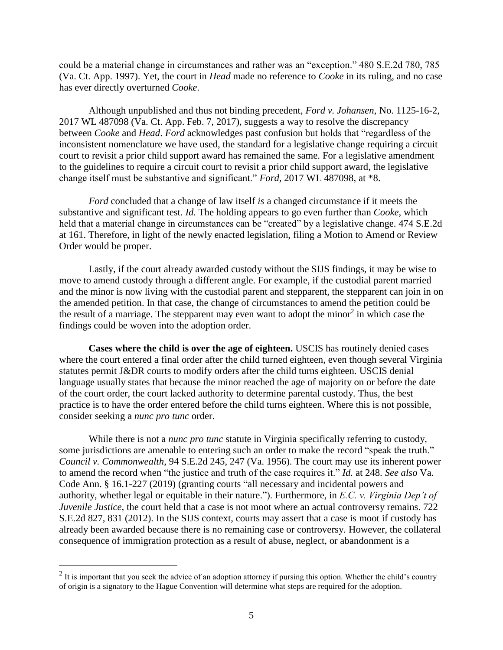could be a material change in circumstances and rather was an "exception." 480 S.E.2d 780, 785 (Va. Ct. App. 1997). Yet, the court in *Head* made no reference to *Cooke* in its ruling, and no case has ever directly overturned *Cooke*.

Although unpublished and thus not binding precedent, *Ford v. Johansen*, No. 1125-16-2, 2017 WL 487098 (Va. Ct. App. Feb. 7, 2017), suggests a way to resolve the discrepancy between *Cooke* and *Head*. *Ford* acknowledges past confusion but holds that "regardless of the inconsistent nomenclature we have used, the standard for a legislative change requiring a circuit court to revisit a prior child support award has remained the same. For a legislative amendment to the guidelines to require a circuit court to revisit a prior child support award, the legislative change itself must be substantive and significant." *Ford*, 2017 WL 487098, at \*8.

*Ford* concluded that a change of law itself *is* a changed circumstance if it meets the substantive and significant test. *Id.* The holding appears to go even further than *Cooke*, which held that a material change in circumstances can be "created" by a legislative change. 474 S.E.2d at 161. Therefore, in light of the newly enacted legislation, filing a Motion to Amend or Review Order would be proper.

Lastly, if the court already awarded custody without the SIJS findings, it may be wise to move to amend custody through a different angle. For example, if the custodial parent married and the minor is now living with the custodial parent and stepparent, the stepparent can join in on the amended petition. In that case, the change of circumstances to amend the petition could be the result of a marriage. The stepparent may even want to adopt the minor<sup>2</sup> in which case the findings could be woven into the adoption order.

**Cases where the child is over the age of eighteen.** USCIS has routinely denied cases where the court entered a final order after the child turned eighteen, even though several Virginia statutes permit J&DR courts to modify orders after the child turns eighteen. USCIS denial language usually states that because the minor reached the age of majority on or before the date of the court order, the court lacked authority to determine parental custody. Thus, the best practice is to have the order entered before the child turns eighteen. Where this is not possible, consider seeking a *nunc pro tunc* order.

While there is not a *nunc pro tunc* statute in Virginia specifically referring to custody, some jurisdictions are amenable to entering such an order to make the record "speak the truth." *Council v. Commonwealth*, 94 S.E.2d 245, 247 (Va. 1956). The court may use its inherent power to amend the record when "the justice and truth of the case requires it." *Id.* at 248. *See also* Va. Code Ann. § 16.1-227 (2019) (granting courts "all necessary and incidental powers and authority, whether legal or equitable in their nature."). Furthermore, in *E.C. v. Virginia Dep't of Juvenile Justice*, the court held that a case is not moot where an actual controversy remains. 722 S.E.2d 827, 831 (2012). In the SIJS context, courts may assert that a case is moot if custody has already been awarded because there is no remaining case or controversy. However, the collateral consequence of immigration protection as a result of abuse, neglect, or abandonment is a

 $\overline{a}$ 

 $2$  It is important that you seek the advice of an adoption attorney if pursing this option. Whether the child's country of origin is a signatory to the Hague Convention will determine what steps are required for the adoption.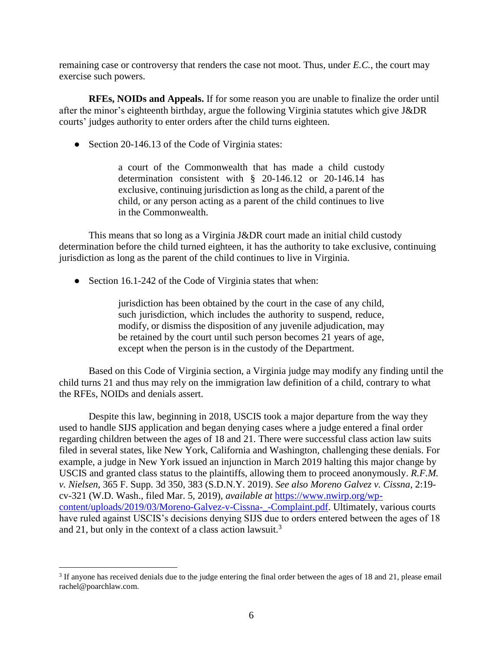remaining case or controversy that renders the case not moot. Thus, under *E.C.*, the court may exercise such powers.

**RFEs, NOIDs and Appeals.** If for some reason you are unable to finalize the order until after the minor's eighteenth birthday, argue the following Virginia statutes which give J&DR courts' judges authority to enter orders after the child turns eighteen.

• Section 20-146.13 of the Code of Virginia states:

a court of the Commonwealth that has made a child custody determination consistent with § 20-146.12 or 20-146.14 has exclusive, continuing jurisdiction as long as the child, a parent of the child, or any person acting as a parent of the child continues to live in the Commonwealth.

This means that so long as a Virginia J&DR court made an initial child custody determination before the child turned eighteen, it has the authority to take exclusive, continuing jurisdiction as long as the parent of the child continues to live in Virginia.

• Section 16.1-242 of the Code of Virginia states that when:

jurisdiction has been obtained by the court in the case of any child, such jurisdiction, which includes the authority to suspend, reduce, modify, or dismiss the disposition of any juvenile adjudication, may be retained by the court until such person becomes 21 years of age, except when the person is in the custody of the Department.

Based on this Code of Virginia section, a Virginia judge may modify any finding until the child turns 21 and thus may rely on the immigration law definition of a child, contrary to what the RFEs, NOIDs and denials assert.

Despite this law, beginning in 2018, USCIS took a major departure from the way they used to handle SIJS application and began denying cases where a judge entered a final order regarding children between the ages of 18 and 21. There were successful class action law suits filed in several states, like New York, California and Washington, challenging these denials. For example, a judge in New York issued an injunction in March 2019 halting this major change by USCIS and granted class status to the plaintiffs, allowing them to proceed anonymously. *R.F.M. v. Nielsen*, 365 F. Supp. 3d 350, 383 (S.D.N.Y. 2019). *See also Moreno Galvez v. Cissna*, 2:19 cv-321 (W.D. Wash., filed Mar. 5, 2019), *available at* [https://www.nwirp.org/wp](https://www.nwirp.org/wp-content/uploads/2019/03/Moreno-Galvez-v-Cissna-_-Complaint.pdf)[content/uploads/2019/03/Moreno-Galvez-v-Cissna-\\_-Complaint.pdf.](https://www.nwirp.org/wp-content/uploads/2019/03/Moreno-Galvez-v-Cissna-_-Complaint.pdf) Ultimately, various courts have ruled against USCIS's decisions denying SIJS due to orders entered between the ages of 18 and 21, but only in the context of a class action lawsuit.<sup>3</sup>

 $\overline{a}$ 

<sup>&</sup>lt;sup>3</sup> If anyone has received denials due to the judge entering the final order between the ages of 18 and 21, please email rachel@poarchlaw.com.